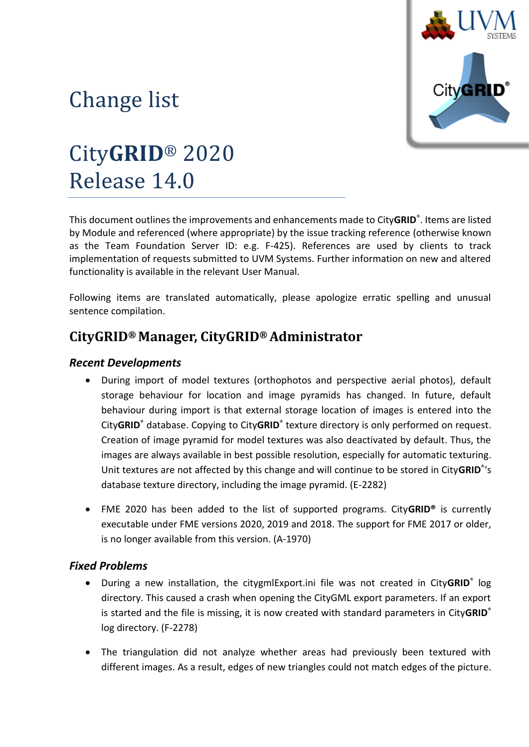

# Change list

# City**GRID**® 2020 Release 14.0

This document outlines the improvements and enhancements made to City**GRID**® . Items are listed by Module and referenced (where appropriate) by the issue tracking reference (otherwise known as the Team Foundation Server ID: e.g. F-425). References are used by clients to track implementation of requests submitted to UVM Systems. Further information on new and altered functionality is available in the relevant User Manual.

Following items are translated automatically, please apologize erratic spelling and unusual sentence compilation.

## **CityGRID® Manager, CityGRID® Administrator**

## *Recent Developments*

- During import of model textures (orthophotos and perspective aerial photos), default storage behaviour for location and image pyramids has changed. In future, default behaviour during import is that external storage location of images is entered into the City**GRID**® database. Copying to City**GRID**® texture directory is only performed on request. Creation of image pyramid for model textures was also deactivated by default. Thus, the images are always available in best possible resolution, especially for automatic texturing. Unit textures are not affected by this change and will continue to be stored in City**GRID**® 's database texture directory, including the image pyramid. (E-2282)
- FME 2020 has been added to the list of supported programs. City**GRID®** is currently executable under FME versions 2020, 2019 and 2018. The support for FME 2017 or older, is no longer available from this version. (A-1970)

### *Fixed Problems*

- During a new installation, the citygmlExport.ini file was not created in City**GRID**® log directory. This caused a crash when opening the CityGML export parameters. If an export is started and the file is missing, it is now created with standard parameters in City**GRID**® log directory. (F-2278)
- The triangulation did not analyze whether areas had previously been textured with different images. As a result, edges of new triangles could not match edges of the picture.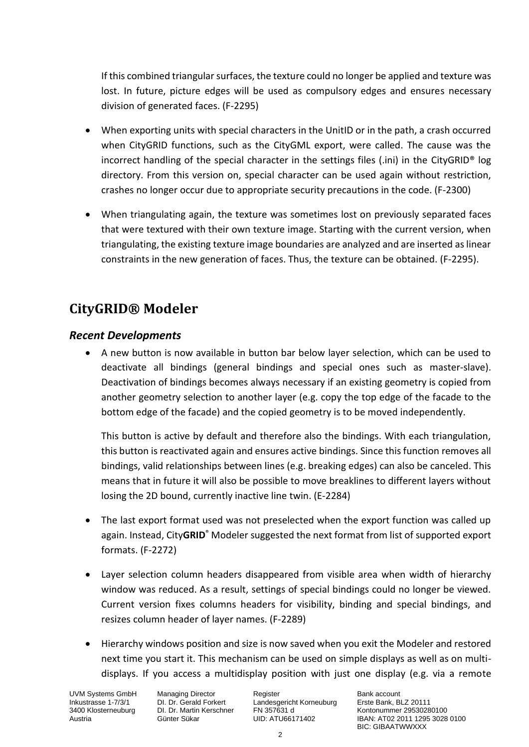If this combined triangular surfaces, the texture could no longer be applied and texture was lost. In future, picture edges will be used as compulsory edges and ensures necessary division of generated faces. (F-2295)

- When exporting units with special characters in the UnitID or in the path, a crash occurred when CityGRID functions, such as the CityGML export, were called. The cause was the incorrect handling of the special character in the settings files (.ini) in the CityGRID® log directory. From this version on, special character can be used again without restriction, crashes no longer occur due to appropriate security precautions in the code. (F-2300)
- When triangulating again, the texture was sometimes lost on previously separated faces that were textured with their own texture image. Starting with the current version, when triangulating, the existing texture image boundaries are analyzed and are inserted as linear constraints in the new generation of faces. Thus, the texture can be obtained. (F-2295).

## **CityGRID® Modeler**

#### *Recent Developments*

• A new button is now available in button bar below layer selection, which can be used to deactivate all bindings (general bindings and special ones such as master-slave). Deactivation of bindings becomes always necessary if an existing geometry is copied from another geometry selection to another layer (e.g. copy the top edge of the facade to the bottom edge of the facade) and the copied geometry is to be moved independently.

This button is active by default and therefore also the bindings. With each triangulation, this button is reactivated again and ensures active bindings. Since this function removes all bindings, valid relationships between lines (e.g. breaking edges) can also be canceled. This means that in future it will also be possible to move breaklines to different layers without losing the 2D bound, currently inactive line twin. (E-2284)

- The last export format used was not preselected when the export function was called up again. Instead, City**GRID**® Modeler suggested the next format from list of supported export formats. (F-2272)
- Layer selection column headers disappeared from visible area when width of hierarchy window was reduced. As a result, settings of special bindings could no longer be viewed. Current version fixes columns headers for visibility, binding and special bindings, and resizes column header of layer names. (F-2289)
- Hierarchy windows position and size is now saved when you exit the Modeler and restored next time you start it. This mechanism can be used on simple displays as well as on multidisplays. If you access a multidisplay position with just one display (e.g. via a remote

UVM Systems GmbH Managing Director Register Register Bank account<br>
Inkustrasse 1-7/3/1 DI. Dr. Gerald Forkert Landesgericht Korneuburg Erste Bank, BLZ 20111 Inkustrasse 1-7/3/1 DI. Dr. Gerald Forkert Landesgericht Korneuburg 3400 Klosterneuburg DI. Dr. Martin Kerschner FN 357631 d

1340 DI. Dr. Martin Kerschner FN 357631 d<br>3400 Günter Sükar Culp: ATU66171402 (BAN: AT02 2011 1295 3028 Austria Günter Sükar UID: ATU66171402 IBAN: AT02 2011 1295 3028 0100 BIC: GIBAATWWXXX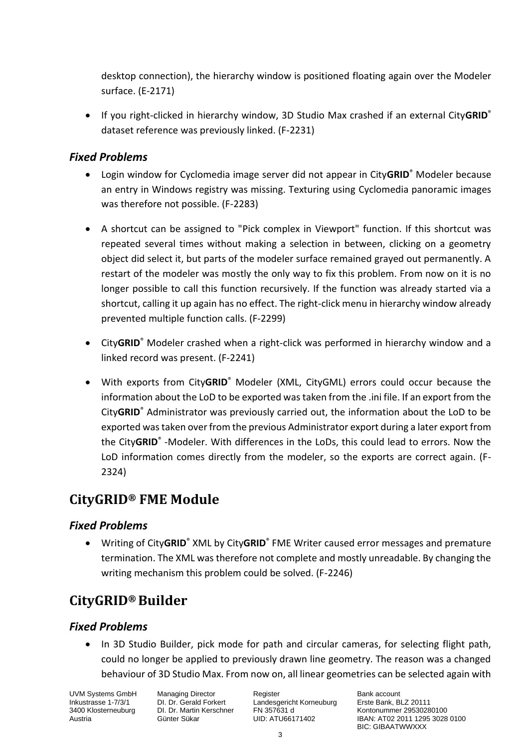desktop connection), the hierarchy window is positioned floating again over the Modeler surface. (E-2171)

• If you right-clicked in hierarchy window, 3D Studio Max crashed if an external City**GRID**® dataset reference was previously linked. (F-2231)

### *Fixed Problems*

- Login window for Cyclomedia image server did not appear in City**GRID**® Modeler because an entry in Windows registry was missing. Texturing using Cyclomedia panoramic images was therefore not possible. (F-2283)
- A shortcut can be assigned to "Pick complex in Viewport" function. If this shortcut was repeated several times without making a selection in between, clicking on a geometry object did select it, but parts of the modeler surface remained grayed out permanently. A restart of the modeler was mostly the only way to fix this problem. From now on it is no longer possible to call this function recursively. If the function was already started via a shortcut, calling it up again has no effect. The right-click menu in hierarchy window already prevented multiple function calls. (F-2299)
- City**GRID**® Modeler crashed when a right-click was performed in hierarchy window and a linked record was present. (F-2241)
- With exports from City**GRID**® Modeler (XML, CityGML) errors could occur because the information about the LoD to be exported was taken from the .ini file. If an export from the City**GRID**® Administrator was previously carried out, the information about the LoD to be exported was taken over from the previous Administrator export during a later export from the City**GRID**® -Modeler. With differences in the LoDs, this could lead to errors. Now the LoD information comes directly from the modeler, so the exports are correct again. (F-2324)

## **CityGRID® FME Module**

### *Fixed Problems*

• Writing of City**GRID**® XML by City**GRID**® FME Writer caused error messages and premature termination. The XML was therefore not complete and mostly unreadable. By changing the writing mechanism this problem could be solved. (F-2246)

## **CityGRID® Builder**

### *Fixed Problems*

• In 3D Studio Builder, pick mode for path and circular cameras, for selecting flight path, could no longer be applied to previously drawn line geometry. The reason was a changed behaviour of 3D Studio Max. From now on, all linear geometries can be selected again with

UVM Systems GmbH Managing Director Register Register Bank account<br>
Inkustrasse 1-7/3/1 DI. Dr. Gerald Forkert Landesgericht Korneuburg Erste Bank, BLZ 20111 Inkustrasse 1-7/3/1 DI. Dr. Gerald Forkert Landesgericht Korneuburg 3400 Klosterneuburg DI. Dr. Martin Kerschner FN 357631 d

1340 DI. Dr. Martin Kerschner FN 357631 d<br>3400 Günter Sükar CID: ATU66171402 (BAN: AT02 2011 1295 3028 Austria Günter Sükar UID: ATU66171402 IBAN: AT02 2011 1295 3028 0100 BIC: GIBAATWWXXX